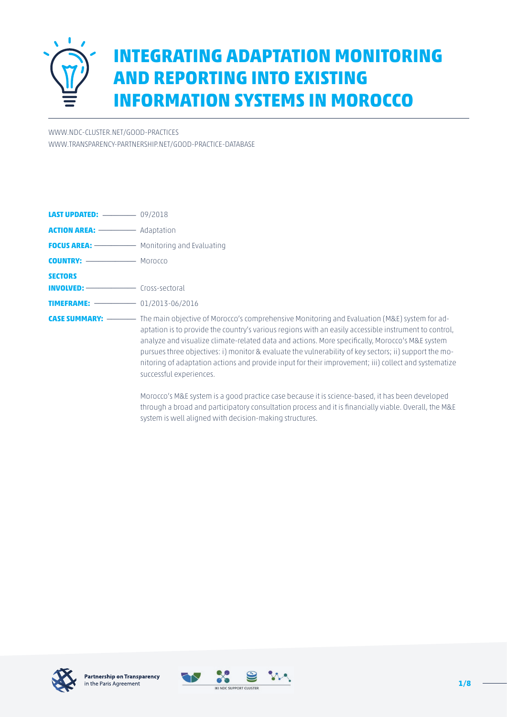

# **INTEGRATING ADAPTATION MONITORING AND REPORTING INTO EXISTING INFORMATION SYSTEMS IN MOROCCO**

[WWW.NDC-CLUSTER.NET/GOOD-PRACTICES](http://www.ndc-cluster.net/good-practices) [WWW.TRANSPARENCY-PARTNERSHIP.NET/GOOD-PRACTICE-DATABASE](http://www.transparency-partnership.net/good-practice-database)

| <b>COUNTRY:</b> ----------------- MOFOCCO |                                                                                                                                                                                                                                                                                                                                                                                                                                                      |
|-------------------------------------------|------------------------------------------------------------------------------------------------------------------------------------------------------------------------------------------------------------------------------------------------------------------------------------------------------------------------------------------------------------------------------------------------------------------------------------------------------|
| <b>SECTORS</b>                            |                                                                                                                                                                                                                                                                                                                                                                                                                                                      |
|                                           |                                                                                                                                                                                                                                                                                                                                                                                                                                                      |
| <b>TIMEFRAME:</b> $-$ 01/2013-06/2016     |                                                                                                                                                                                                                                                                                                                                                                                                                                                      |
|                                           | aptation is to provide the country's various regions with an easily accessible instrument to control,<br>analyze and visualize climate-related data and actions. More specifically, Morocco's M&E system<br>pursues three objectives: i) monitor & evaluate the vulnerability of key sectors; ii) support the mo-<br>nitoring of adaptation actions and provide input for their improvement; iii) collect and systematize<br>successful experiences. |

Morocco's M&E system is a good practice case because it is science-based, it has been developed through a broad and participatory consultation process and it is financially viable. Overall, the M&E system is well aligned with decision-making structures.



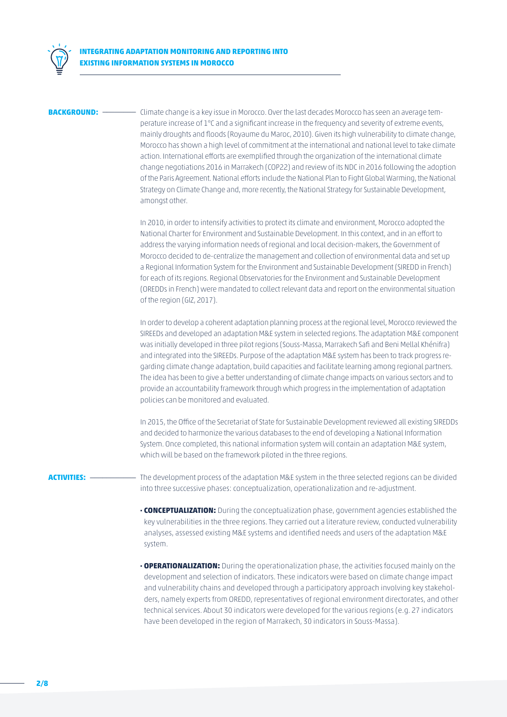

**BACKGROUND:** \_\_\_\_\_\_\_\_\_\_\_\_ Climate change is a key issue in Morocco. Over the last decades Morocco has seen an average temperature increase of 1°C and a significant increase in the frequency and severity of extreme events, mainly droughts and floods (Royaume du Maroc, 2010). Given its high vulnerability to climate change, Morocco has shown a high level of commitment at the international and national level to take climate action. International efforts are exemplified through the organization of the international climate change negotiations 2016 in Marrakech (COP22) and review of its NDC in 2016 following the adoption of the Paris Agreement. National efforts include the National Plan to Fight Global Warming, the National Strategy on Climate Change and, more recently, the National Strategy for Sustainable Development, amongst other.

> In 2010, in order to intensify activities to protect its climate and environment, Morocco adopted the National Charter for Environment and Sustainable Development. In this context, and in an effort to address the varying information needs of regional and local decision-makers, the Government of Morocco decided to de-centralize the management and collection of environmental data and set up a Regional Information System for the Environment and Sustainable Development (SIREDD in French) for each of its regions. Regional Observatories for the Environment and Sustainable Development (OREDDs in French) were mandated to collect relevant data and report on the environmental situation of the region (GIZ, 2017).

In order to develop a coherent adaptation planning process at the regional level, Morocco reviewed the SIREEDs and developed an adaptation M&E system in selected regions. The adaptation M&E component was initially developed in three pilot regions (Souss-Massa, Marrakech Safi and Beni Mellal Khénifra) and integrated into the SIREEDs. Purpose of the adaptation M&E system has been to track progress regarding climate change adaptation, build capacities and facilitate learning among regional partners. The idea has been to give a better understanding of climate change impacts on various sectors and to provide an accountability framework through which progress in the implementation of adaptation policies can be monitored and evaluated.

In 2015, the Office of the Secretariat of State for Sustainable Development reviewed all existing SIREDDs and decided to harmonize the various databases to the end of developing a National Information System. Once completed, this national information system will contain an adaptation M&E system, which will be based on the framework piloted in the three regions.

**ACTIVITIES:** \_\_\_\_\_\_\_\_\_\_\_ The development process of the adaptation M&E system in the three selected regions can be divided into three successive phases: conceptualization, operationalization and re-adjustment.

- **· CONCEPTUALIZATION:** During the conceptualization phase, government agencies established the key vulnerabilities in the three regions. They carried out a literature review, conducted vulnerability analyses, assessed existing M&E systems and identified needs and users of the adaptation M&E system.
- **· OPERATIONALIZATION:** During the operationalization phase, the activities focused mainly on the development and selection of indicators. These indicators were based on climate change impact and vulnerability chains and developed through a participatory approach involving key stakeholders, namely experts from OREDD, representatives of regional environment directorates, and other technical services. About 30 indicators were developed for the various regions (e.g. 27 indicators have been developed in the region of Marrakech, 30 indicators in Souss-Massa).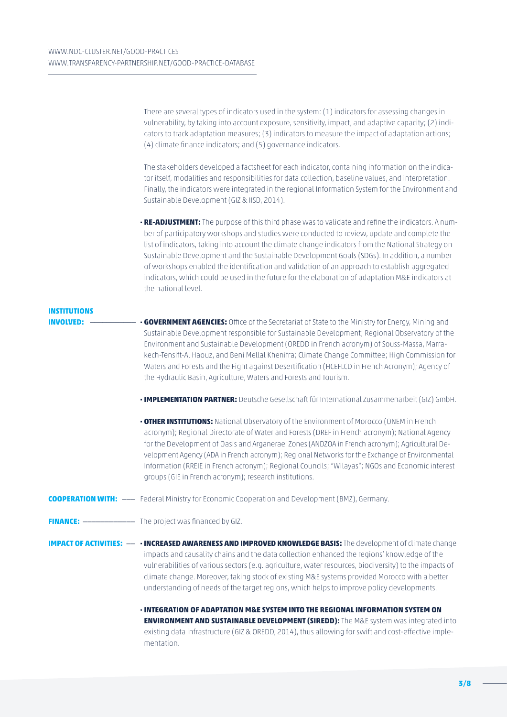|                                  | There are several types of indicators used in the system: (1) indicators for assessing changes in<br>vulnerability, by taking into account exposure, sensitivity, impact, and adaptive capacity; (2) indi-<br>cators to track adaptation measures; (3) indicators to measure the impact of adaptation actions;<br>(4) climate finance indicators; and (5) governance indicators.                                                                                                                                                                                                                                                                          |
|----------------------------------|-----------------------------------------------------------------------------------------------------------------------------------------------------------------------------------------------------------------------------------------------------------------------------------------------------------------------------------------------------------------------------------------------------------------------------------------------------------------------------------------------------------------------------------------------------------------------------------------------------------------------------------------------------------|
|                                  | The stakeholders developed a factsheet for each indicator, containing information on the indica-<br>tor itself, modalities and responsibilities for data collection, baseline values, and interpretation.<br>Finally, the indicators were integrated in the regional Information System for the Environment and<br>Sustainable Development (GIZ & IISD, 2014).                                                                                                                                                                                                                                                                                            |
|                                  | . RE-ADJUSTMENT: The purpose of this third phase was to validate and refine the indicators. A num-<br>ber of participatory workshops and studies were conducted to review, update and complete the<br>list of indicators, taking into account the climate change indicators from the National Strategy on<br>Sustainable Development and the Sustainable Development Goals (SDGs). In addition, a number<br>of workshops enabled the identification and validation of an approach to establish aggregated<br>indicators, which could be used in the future for the elaboration of adaptation M&E indicators at<br>the national level.                     |
| <b>INSTITUTIONS</b><br>INVOLVED: | <b>- GOVERNMENT AGENCIES:</b> Office of the Secretariat of State to the Ministry for Energy, Mining and<br>Sustainable Development responsible for Sustainable Development; Regional Observatory of the<br>Environment and Sustainable Development (OREDD in French acronym) of Souss-Massa, Marra-<br>kech-Tensift-Al Haouz, and Beni Mellal Khenifra; Climate Change Committee; High Commission for<br>Waters and Forests and the Fight against Desertification (HCEFLCD in French Acronym); Agency of<br>the Hydraulic Basin, Agriculture, Waters and Forests and Tourism.                                                                             |
|                                  | . IMPLEMENTATION PARTNER: Deutsche Gesellschaft für International Zusammenarbeit (GIZ) GmbH.<br>• OTHER INSTITUTIONS: National Observatory of the Environment of Morocco (ONEM in French<br>acronym); Regional Directorate of Water and Forests (DREF in French acronym); National Agency<br>for the Development of Oasis and Arganeraei Zones (ANDZOA in French acronym); Agricultural De-<br>velopment Agency (ADA in French acronym); Regional Networks for the Exchange of Environmental<br>Information (RREIE in French acronym); Regional Councils; "Wilayas"; NGOs and Economic interest<br>groups (GIE in French acronym); research institutions. |
|                                  | <b>COOPERATION WITH:</b> -- Federal Ministry for Economic Cooperation and Development (BMZ), Germany.                                                                                                                                                                                                                                                                                                                                                                                                                                                                                                                                                     |
|                                  |                                                                                                                                                                                                                                                                                                                                                                                                                                                                                                                                                                                                                                                           |
|                                  | IMPACT OF ACTIVITIES: -- · INCREASED AWARENESS AND IMPROVED KNOWLEDGE BASIS: The development of climate change<br>impacts and causality chains and the data collection enhanced the regions' knowledge of the<br>vulnerabilities of various sectors (e.g. agriculture, water resources, biodiversity) to the impacts of<br>climate change. Moreover, taking stock of existing M&E systems provided Morocco with a better<br>understanding of needs of the target regions, which helps to improve policy developments.                                                                                                                                     |
|                                  | <b>· INTEGRATION OF ADAPTATION M&amp;E SYSTEM INTO THE REGIONAL INFORMATION SYSTEM ON</b><br><b>ENVIRONMENT AND SUSTAINABLE DEVELOPMENT (SIREDD):</b> The M&E system was integrated into<br>existing data infrastructure (GIZ & OREDD, 2014), thus allowing for swift and cost-effective imple-<br>mentation.                                                                                                                                                                                                                                                                                                                                             |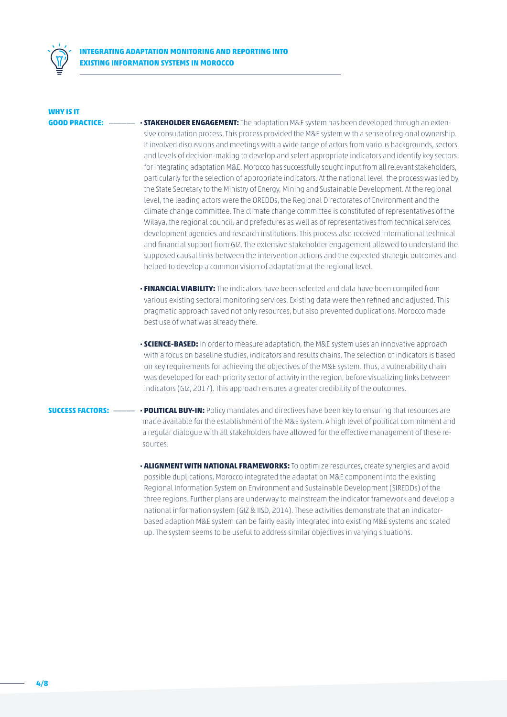

## **WHY IS IT**

- **GOOD PRACTICE:** \_\_\_\_\_\_ **· STAKEHOLDER ENGAGEMENT:** The adaptation M&E system has been developed through an extensive consultation process. This process provided the M&E system with a sense of regional ownership. It involved discussions and meetings with a wide range of actors from various backgrounds, sectors and levels of decision-making to develop and select appropriate indicators and identify key sectors for integrating adaptation M&E. Morocco has successfully sought input from all relevant stakeholders, particularly for the selection of appropriate indicators. At the national level, the process was led by the State Secretary to the Ministry of Energy, Mining and Sustainable Development. At the regional level, the leading actors were the OREDDs, the Regional Directorates of Environment and the climate change committee. The climate change committee is constituted of representatives of the Wilaya, the regional council, and prefectures as well as of representatives from technical services, development agencies and research institutions. This process also received international technical and financial support from GIZ. The extensive stakeholder engagement allowed to understand the supposed causal links between the intervention actions and the expected strategic outcomes and helped to develop a common vision of adaptation at the regional level.
	- **· FINANCIAL VIABILITY:** The indicators have been selected and data have been compiled from various existing sectoral monitoring services. Existing data were then refined and adjusted. This pragmatic approach saved not only resources, but also prevented duplications. Morocco made best use of what was already there.
	- **· SCIENCE-BASED:** In order to measure adaptation, the M&E system uses an innovative approach with a focus on baseline studies, indicators and results chains. The selection of indicators is based on key requirements for achieving the objectives of the M&E system. Thus, a vulnerability chain was developed for each priority sector of activity in the region, before visualizing links between indicators (GIZ, 2017). This approach ensures a greater credibility of the outcomes.

- **SUCCESS FACTORS:** \_\_\_\_\_ **· POLITICAL BUY-IN:** Policy mandates and directives have been key to ensuring that resources are made available for the establishment of the M&E system. A high level of political commitment and a regular dialogue with all stakeholders have allowed for the effective management of these resources.
	- **· ALIGNMENT WITH NATIONAL FRAMEWORKS:** To optimize resources, create synergies and avoid possible duplications, Morocco integrated the adaptation M&E component into the existing Regional Information System on Environment and Sustainable Development (SIREDDs) of the three regions. Further plans are underway to mainstream the indicator framework and develop a national information system (GIZ & IISD, 2014). These activities demonstrate that an indicatorbased adaption M&E system can be fairly easily integrated into existing M&E systems and scaled up. The system seems to be useful to address similar objectives in varying situations.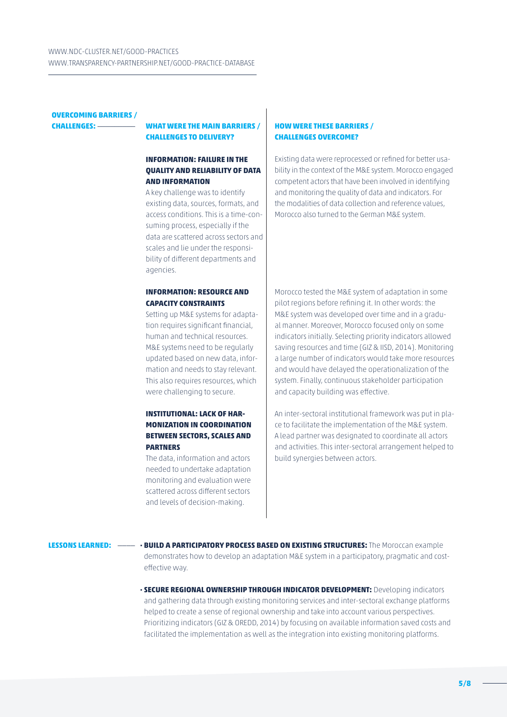## **OVERCOMING BARRIERS /**

### **CHALLENGES:** \_\_\_\_\_\_\_\_\_ **WHAT WERE THE MAIN BARRIERS / CHALLENGES TO DELIVERY?**

### **INFORMATION: FAILURE IN THE QUALITY AND RELIABILITY OF DATA AND INFORMATION**

A key challenge was to identify existing data, sources, formats, and access conditions. This is a time-consuming process, especially if the data are scattered across sectors and scales and lie under the responsibility of different departments and agencies.

### **INFORMATION: RESOURCE AND CAPACITY CONSTRAINTS**

Setting up M&E systems for adaptation requires significant financial, human and technical resources. M&E systems need to be regularly updated based on new data, information and needs to stay relevant. This also requires resources, which were challenging to secure.

### **INSTITUTIONAL: LACK OF HAR-MONIZATION IN COORDINATION BETWEEN SECTORS, SCALES AND PARTNERS**

The data, information and actors needed to undertake adaptation monitoring and evaluation were scattered across different sectors and levels of decision-making.

### **HOW WERE THESE BARRIERS / CHALLENGES OVERCOME?**

Existing data were reprocessed or refined for better usability in the context of the M&E system. Morocco engaged competent actors that have been involved in identifying and monitoring the quality of data and indicators. For the modalities of data collection and reference values, Morocco also turned to the German M&E system.

Morocco tested the M&E system of adaptation in some pilot regions before refining it. In other words: the M&E system was developed over time and in a gradual manner. Moreover, Morocco focused only on some indicators initially. Selecting priority indicators allowed saving resources and time (GIZ & IISD, 2014). Monitoring a large number of indicators would take more resources and would have delayed the operationalization of the system. Finally, continuous stakeholder participation and capacity building was effective.

An inter-sectoral institutional framework was put in place to facilitate the implementation of the M&E system. A lead partner was designated to coordinate all actors and activities. This inter-sectoral arrangement helped to build synergies between actors.

**LESSONS LEARNED:** \_\_\_\_ **· BUILD A PARTICIPATORY PROCESS BASED ON EXISTING STRUCTURES:** The Moroccan example demonstrates how to develop an adaptation M&E system in a participatory, pragmatic and costeffective way.

> **· SECURE REGIONAL OWNERSHIP THROUGH INDICATOR DEVELOPMENT:** Developing indicators and gathering data through existing monitoring services and inter-sectoral exchange platforms helped to create a sense of regional ownership and take into account various perspectives. Prioritizing indicators (GIZ & OREDD, 2014) by focusing on available information saved costs and facilitated the implementation as well as the integration into existing monitoring platforms.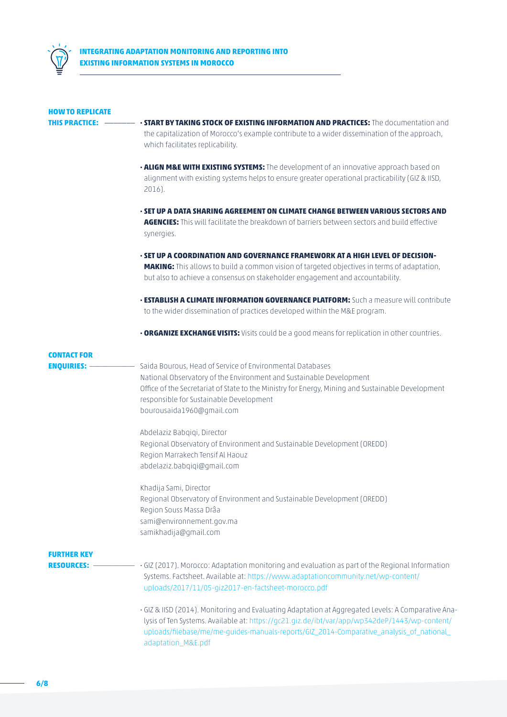

| <b>HOW TO REPLICATE</b>                 |                                                                                                                                                                                                                                                                                                                       |
|-----------------------------------------|-----------------------------------------------------------------------------------------------------------------------------------------------------------------------------------------------------------------------------------------------------------------------------------------------------------------------|
| <b>THIS PRACTICE:</b>                   | <b>· START BY TAKING STOCK OF EXISTING INFORMATION AND PRACTICES:</b> The documentation and                                                                                                                                                                                                                           |
|                                         | the capitalization of Morocco's example contribute to a wider dissemination of the approach,<br>which facilitates replicability.                                                                                                                                                                                      |
|                                         | . ALIGN M&E WITH EXISTING SYSTEMS: The development of an innovative approach based on<br>alignment with existing systems helps to ensure greater operational practicability (GIZ & IISD,<br>2016).                                                                                                                    |
|                                         | <u>- SET UP A DATA SHARING AGREEMENT ON CLIMATE CHANGE BETWEEN VARIOUS SECTORS AND</u><br>AGENCIES: This will facilitate the breakdown of barriers between sectors and build effective<br>synergies.                                                                                                                  |
|                                         | - SET UP A COORDINATION AND GOVERNANCE FRAMEWORK AT A HIGH LEVEL OF DECISION-<br><b>MAKING:</b> This allows to build a common vision of targeted objectives in terms of adaptation,<br>but also to achieve a consensus on stakeholder engagement and accountability.                                                  |
|                                         | <b>· ESTABLISH A CLIMATE INFORMATION GOVERNANCE PLATFORM:</b> Such a measure will contribute<br>to the wider dissemination of practices developed within the M&E program.                                                                                                                                             |
|                                         | <b>. ORGANIZE EXCHANGE VISITS:</b> Visits could be a good means for replication in other countries.                                                                                                                                                                                                                   |
| <b>CONTACT FOR</b>                      |                                                                                                                                                                                                                                                                                                                       |
| <b>ENQUIRIES:</b>                       | Saida Bourous, Head of Service of Environmental Databases<br>National Observatory of the Environment and Sustainable Development<br>Office of the Secretariat of State to the Ministry for Energy, Mining and Sustainable Development<br>responsible for Sustainable Development<br>bourousaida1960@gmail.com         |
|                                         | Abdelaziz Babgigi, Director<br>Regional Observatory of Environment and Sustainable Development (OREDD)<br>Region Marrakech Tensif Al Haouz<br>abdelaziz.babqiqi@qmail.com                                                                                                                                             |
|                                         | Khadija Sami, Director<br>Regional Observatory of Environment and Sustainable Development (OREDD)<br>Region Souss Massa Drâa<br>sami@environnement.gov.ma<br>samikhadija@gmail.com                                                                                                                                    |
|                                         |                                                                                                                                                                                                                                                                                                                       |
| <b>FURTHER KEY</b><br><b>RESOURCES:</b> | · GIZ (2017). Morocco: Adaptation monitoring and evaluation as part of the Regional Information<br>Systems. Factsheet. Available at: https://www.adaptationcommunity.net/wp-content/<br>uploads/2017/11/05-giz2017-en-factsheet-morocco.pdf                                                                           |
|                                         | · GIZ & IISD (2014). Monitoring and Evaluating Adaptation at Aggregated Levels: A Comparative Ana-<br>lysis of Ten Systems. Available at: https://gc21.giz.de/ibt/var/app/wp342deP/1443/wp-content/<br>uploads/filebase/me/me-guides-manuals-reports/GIZ_2014-Comparative_analysis_of_national_<br>adaptation_M&E.pdf |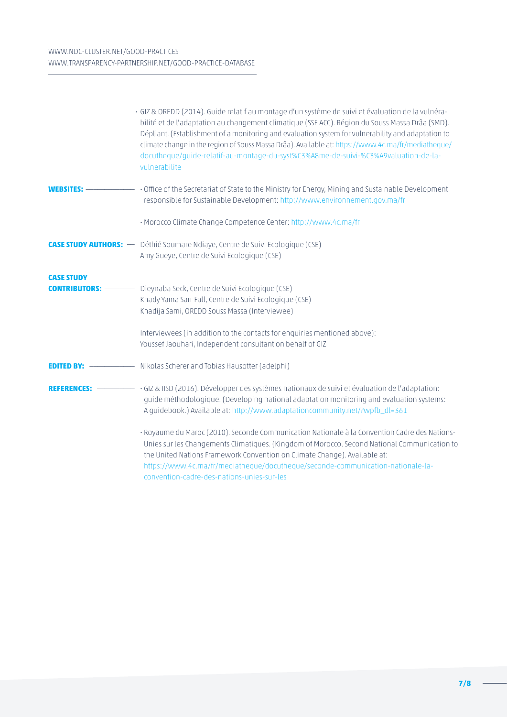|                                                                                                                                                                                                                                                                                                                                                                                                                                                | · GIZ & OREDD (2014). Guide relatif au montage d'un système de suivi et évaluation de la vulnéra-<br>bilité et de l'adaptation au changement climatique (SSE ACC). Région du Souss Massa Drâa (SMD).<br>Dépliant. (Establishment of a monitoring and evaluation system for vulnerability and adaptation to<br>climate change in the region of Souss Massa Drâa). Available at: https://www.4c.ma/fr/mediatheque/<br>docutheque/quide-relatif-au-montage-du-syst%C3%A8me-de-suivi-%C3%A9valuation-de-la-<br>vulnerabilite |
|------------------------------------------------------------------------------------------------------------------------------------------------------------------------------------------------------------------------------------------------------------------------------------------------------------------------------------------------------------------------------------------------------------------------------------------------|--------------------------------------------------------------------------------------------------------------------------------------------------------------------------------------------------------------------------------------------------------------------------------------------------------------------------------------------------------------------------------------------------------------------------------------------------------------------------------------------------------------------------|
| <b>WEBSITES:</b>                                                                                                                                                                                                                                                                                                                                                                                                                               | • Office of the Secretariat of State to the Ministry for Energy, Mining and Sustainable Development<br>responsible for Sustainable Development: http://www.environnement.gov.ma/fr                                                                                                                                                                                                                                                                                                                                       |
|                                                                                                                                                                                                                                                                                                                                                                                                                                                | • Morocco Climate Change Competence Center: http://www.4c.ma/fr                                                                                                                                                                                                                                                                                                                                                                                                                                                          |
|                                                                                                                                                                                                                                                                                                                                                                                                                                                | <b>CASE STUDY AUTHORS:</b> — Déthié Soumare Ndiaye, Centre de Suivi Ecologique (CSE)<br>Amy Gueye, Centre de Suivi Ecologique (CSE)                                                                                                                                                                                                                                                                                                                                                                                      |
| <b>CASE STUDY</b><br><b>CONTRIBUTORS:</b> ————                                                                                                                                                                                                                                                                                                                                                                                                 | Dieynaba Seck, Centre de Suivi Ecologique (CSE)<br>Khady Yama Sarr Fall, Centre de Suivi Ecologique (CSE)<br>Khadija Sami, OREDD Souss Massa (Interviewee)<br>Interviewees (in addition to the contacts for enquiries mentioned above):<br>Youssef Jaouhari, Independent consultant on behalf of GIZ                                                                                                                                                                                                                     |
| <b>EDITED BY: <math>-</math></b><br>$\frac{1}{\sqrt{2\pi}}\left( \frac{1}{\sqrt{2\pi}}\right) ^{2}=\frac{1}{2\sqrt{2\pi}}\left( \frac{1}{\sqrt{2\pi}}\right) ^{2}=\frac{1}{2\sqrt{2\pi}}\left( \frac{1}{2\sqrt{2\pi}}\right) ^{2}=\frac{1}{2\sqrt{2\pi}}\left( \frac{1}{2\sqrt{2\pi}}\right) ^{2}=\frac{1}{2\sqrt{2\pi}}\left( \frac{1}{2\sqrt{2\pi}}\right) ^{2}=\frac{1}{2\sqrt{2\pi}}\left( \frac{1}{2\sqrt{2\pi}}\right) ^{2}=\frac{1}{2\$ | Nikolas Scherer and Tobias Hausotter (adelphi)                                                                                                                                                                                                                                                                                                                                                                                                                                                                           |
|                                                                                                                                                                                                                                                                                                                                                                                                                                                | REFERENCES: - · GIZ & IISD (2016). Développer des systèmes nationaux de suivi et évaluation de l'adaptation:<br>guide méthodologique. (Developing national adaptation monitoring and evaluation systems:<br>A guidebook.) Available at: http://www.adaptationcommunity.net/?wpfb_dl=361                                                                                                                                                                                                                                  |
|                                                                                                                                                                                                                                                                                                                                                                                                                                                | · Royaume du Maroc (2010). Seconde Communication Nationale à la Convention Cadre des Nations-<br>Unies sur les Changements Climatiques. (Kingdom of Morocco. Second National Communication to<br>the United Nations Framework Convention on Climate Change). Available at:<br>https://www.4c.ma/fr/mediatheque/docutheque/seconde-communication-nationale-la-<br>convention-cadre-des-nations-unies-sur-les                                                                                                              |